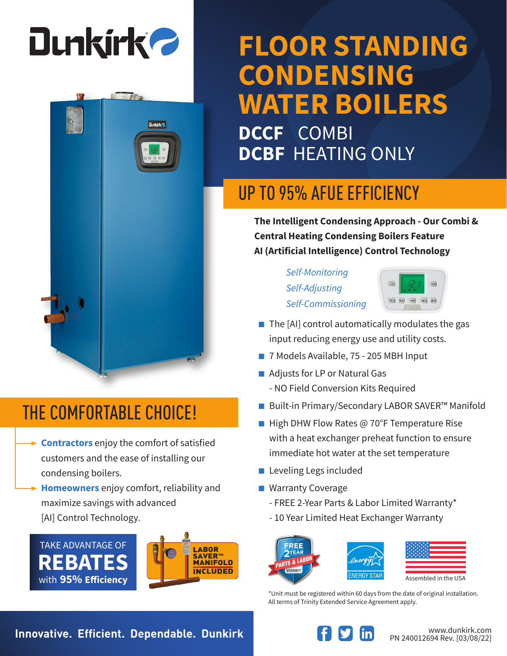

**Dunkirk** 

## **FLOOR STANDING CONDENSING WATER BOILERS DCCF** COMBI

**DCBF** HEATING ONLY

### UP TO 95% AFUE EFFICIENCY

**The Intelligent Condensing Approach - Our Combi & Central Heating Condensing Boilers Feature AI (Artificial Intelligence) Control Technology**

> *Self-Monitoring Self-Adjusting Self-Commissioning*



- $\blacksquare$  The [AI] control automatically modulates the gas input reducing energy use and utility costs.
- 7 Models Available, 75 205 MBH Input
- Adjusts for LP or Natural Gas
	- NO Field Conversion Kits Required
- Built-in Primary/Secondary LABOR SAVER<sup>™</sup> Manifold
- High DHW Flow Rates @ 70°F Temperature Rise with a heat exchanger preheat function to ensure immediate hot water at the set temperature
- Leveling Legs included
- Warranty Coverage
	- FREE 2-Year Parts & Labor Limited Warranty\*
	- 10 Year Limited Heat Exchanger Warranty

FRFF



| Assembled in the USA |  |
|----------------------|--|

\*Unit must be registered within 60 days from the date of original installation. All terms of Trinity Extended Service Agreement apply.

### THE COMFORTABLE CHOICE!

**Contractors** enjoy the comfort of satisfied customers and the ease of installing our condensing boilers.

**Homeowners** enjoy comfort, reliability and maximize savings with advanced [AI] Control Technology.





**Innovative. Efficient. Dependable. Dunkirk Wave and South and Medicinal Property Communistry.com**